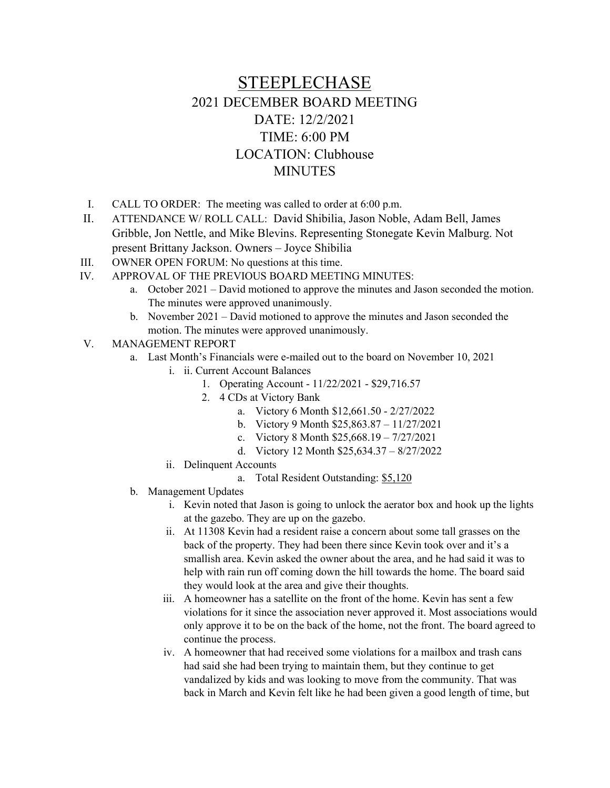# STEEPLECHASE 2021 DECEMBER BOARD MEETING DATE: 12/2/2021 TIME: 6:00 PM LOCATION: Clubhouse MINUTES

- I. CALL TO ORDER: The meeting was called to order at 6:00 p.m.
- II. ATTENDANCE W/ ROLL CALL: David Shibilia, Jason Noble, Adam Bell, James Gribble, Jon Nettle, and Mike Blevins. Representing Stonegate Kevin Malburg. Not present Brittany Jackson. Owners – Joyce Shibilia
- III. OWNER OPEN FORUM: No questions at this time.
- IV. APPROVAL OF THE PREVIOUS BOARD MEETING MINUTES:
	- a. October 2021 David motioned to approve the minutes and Jason seconded the motion. The minutes were approved unanimously.
	- b. November 2021 David motioned to approve the minutes and Jason seconded the motion. The minutes were approved unanimously.
- V. MANAGEMENT REPORT
	- a. Last Month's Financials were e-mailed out to the board on November 10, 2021
		- i. ii. Current Account Balances
			- 1. Operating Account 11/22/2021 \$29,716.57
			- 2. 4 CDs at Victory Bank
				- a. Victory 6 Month \$12,661.50 2/27/2022
				- b. Victory 9 Month \$25,863.87 11/27/2021
				- c. Victory 8 Month \$25,668.19 7/27/2021
				- d. Victory 12 Month \$25,634.37 8/27/2022
		- ii. Delinquent Accounts
			- a. Total Resident Outstanding: \$5,120
	- b. Management Updates
		- i. Kevin noted that Jason is going to unlock the aerator box and hook up the lights at the gazebo. They are up on the gazebo.
		- ii. At 11308 Kevin had a resident raise a concern about some tall grasses on the back of the property. They had been there since Kevin took over and it's a smallish area. Kevin asked the owner about the area, and he had said it was to help with rain run off coming down the hill towards the home. The board said they would look at the area and give their thoughts.
		- iii. A homeowner has a satellite on the front of the home. Kevin has sent a few violations for it since the association never approved it. Most associations would only approve it to be on the back of the home, not the front. The board agreed to continue the process.
		- iv. A homeowner that had received some violations for a mailbox and trash cans had said she had been trying to maintain them, but they continue to get vandalized by kids and was looking to move from the community. That was back in March and Kevin felt like he had been given a good length of time, but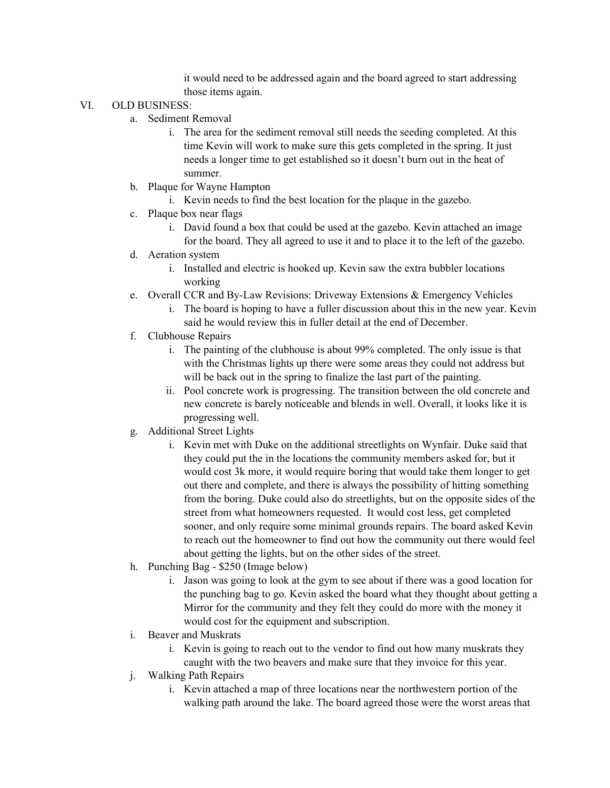it would need to be addressed again and the board agreed to start addressing those items again.

#### VI. OLD BUSINESS:

- a. Sediment Removal
	- i. The area for the sediment removal still needs the seeding completed. At this time Kevin will work to make sure this gets completed in the spring. It just needs a longer time to get established so it doesn't burn out in the heat of summer.
- b. Plaque for Wayne Hampton
	- i. Kevin needs to find the best location for the plaque in the gazebo.
- c. Plaque box near flags
	- i. David found a box that could be used at the gazebo. Kevin attached an image for the board. They all agreed to use it and to place it to the left of the gazebo.
- d. Aeration system
	- i. Installed and electric is hooked up. Kevin saw the extra bubbler locations working
- e. Overall CCR and By-Law Revisions: Driveway Extensions & Emergency Vehicles
	- i. The board is hoping to have a fuller discussion about this in the new year. Kevin said he would review this in fuller detail at the end of December.
- f. Clubhouse Repairs
	- i. The painting of the clubhouse is about 99% completed. The only issue is that with the Christmas lights up there were some areas they could not address but will be back out in the spring to finalize the last part of the painting.
	- ii. Pool concrete work is progressing. The transition between the old concrete and new concrete is barely noticeable and blends in well. Overall, it looks like it is progressing well.
- g. Additional Street Lights
	- i. Kevin met with Duke on the additional streetlights on Wynfair. Duke said that they could put the in the locations the community members asked for, but it would cost 3k more, it would require boring that would take them longer to get out there and complete, and there is always the possibility of hitting something from the boring. Duke could also do streetlights, but on the opposite sides of the street from what homeowners requested. It would cost less, get completed sooner, and only require some minimal grounds repairs. The board asked Kevin to reach out the homeowner to find out how the community out there would feel about getting the lights, but on the other sides of the street.
- h. Punching Bag \$250 (Image below)
	- i. Jason was going to look at the gym to see about if there was a good location for the punching bag to go. Kevin asked the board what they thought about getting a Mirror for the community and they felt they could do more with the money it would cost for the equipment and subscription.
- i. Beaver and Muskrats
	- i. Kevin is going to reach out to the vendor to find out how many muskrats they caught with the two beavers and make sure that they invoice for this year.
- j. Walking Path Repairs
	- i. Kevin attached a map of three locations near the northwestern portion of the walking path around the lake. The board agreed those were the worst areas that